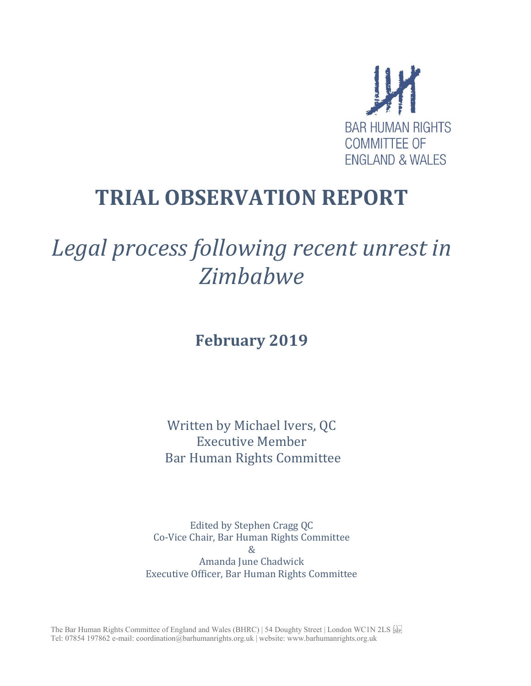

## **TRIAL OBSERVATION REPORT**

# *Legal process following recent unrest in Zimbabwe*

**February 2019**

Written by Michael Ivers, QC Executive Member Bar Human Rights Committee

Edited by Stephen Cragg QC Co-Vice Chair, Bar Human Rights Committee & Amanda June Chadwick Executive Officer, Bar Human Rights Committee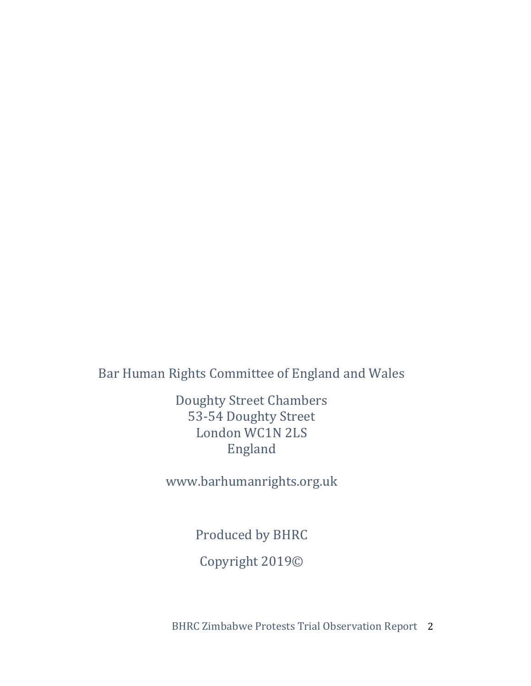Bar Human Rights Committee of England and Wales

Doughty Street Chambers 53-54 Doughty Street London WC1N 2LS England

www.barhumanrights.org.uk

Produced by BHRC

Copyright 2019©

BHRC Zimbabwe Protests Trial Observation Report 2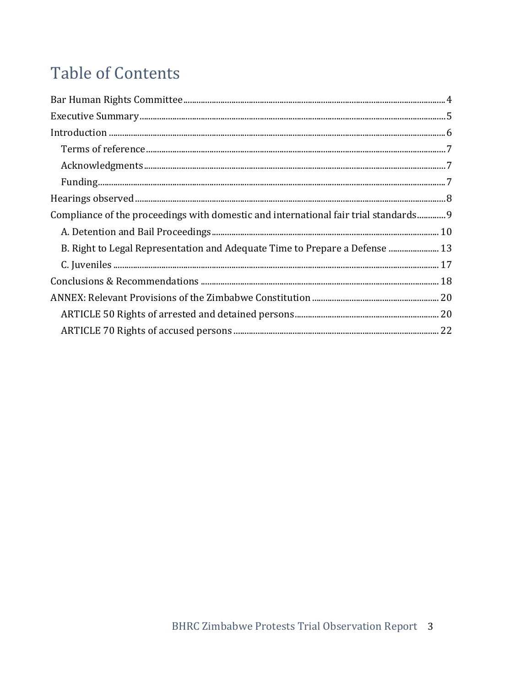## **Table of Contents**

| Compliance of the proceedings with domestic and international fair trial standards 9 |  |
|--------------------------------------------------------------------------------------|--|
|                                                                                      |  |
| B. Right to Legal Representation and Adequate Time to Prepare a Defense  13          |  |
|                                                                                      |  |
|                                                                                      |  |
|                                                                                      |  |
|                                                                                      |  |
|                                                                                      |  |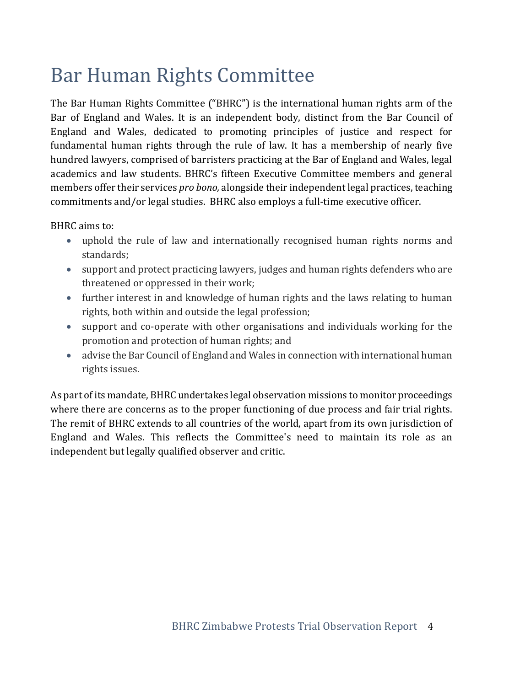# <span id="page-3-0"></span>Bar Human Rights Committee

The Bar Human Rights Committee ("BHRC") is the international human rights arm of the Bar of England and Wales. It is an independent body, distinct from the Bar Council of England and Wales, dedicated to promoting principles of justice and respect for fundamental human rights through the rule of law. It has a membership of nearly five hundred lawyers, comprised of barristers practicing at the Bar of England and Wales, legal academics and law students. BHRC's fifteen Executive Committee members and general members offer their services *pro bono,* alongside their independent legal practices, teaching commitments and/or legal studies. BHRC also employs a full-time executive officer.

BHRC aims to:

- uphold the rule of law and internationally recognised human rights norms and standards;
- support and protect practicing lawyers, judges and human rights defenders who are threatened or oppressed in their work;
- further interest in and knowledge of human rights and the laws relating to human rights, both within and outside the legal profession;
- support and co-operate with other organisations and individuals working for the promotion and protection of human rights; and
- advise the Bar Council of England and Wales in connection with international human rights issues.

As part of its mandate, BHRC undertakes legal observation missions to monitor proceedings where there are concerns as to the proper functioning of due process and fair trial rights. The remit of BHRC extends to all countries of the world, apart from its own jurisdiction of England and Wales. This reflects the Committee's need to maintain its role as an independent but legally qualified observer and critic.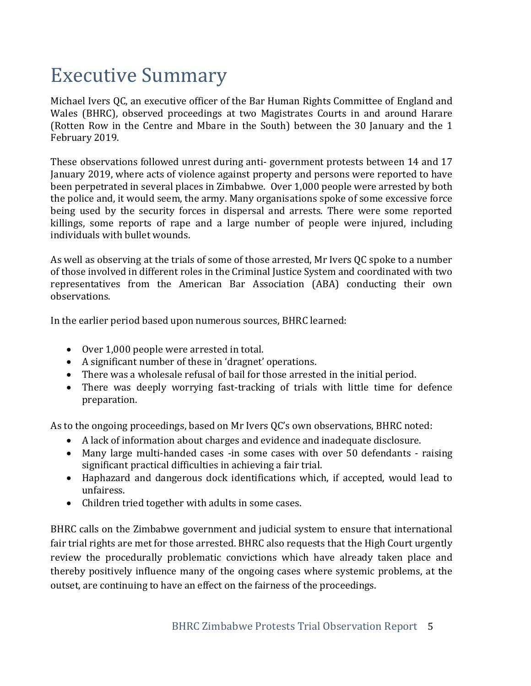## <span id="page-4-0"></span>Executive Summary

Michael Ivers QC, an executive officer of the Bar Human Rights Committee of England and Wales (BHRC), observed proceedings at two Magistrates Courts in and around Harare (Rotten Row in the Centre and Mbare in the South) between the 30 January and the 1 February 2019.

These observations followed unrest during anti- government protests between 14 and 17 January 2019, where acts of violence against property and persons were reported to have been perpetrated in several places in Zimbabwe. Over 1,000 people were arrested by both the police and, it would seem, the army. Many organisations spoke of some excessive force being used by the security forces in dispersal and arrests. There were some reported killings, some reports of rape and a large number of people were injured, including individuals with bullet wounds.

As well as observing at the trials of some of those arrested, Mr Ivers QC spoke to a number of those involved in different roles in the Criminal Justice System and coordinated with two representatives from the American Bar Association (ABA) conducting their own observations.

In the earlier period based upon numerous sources, BHRC learned:

- Over 1,000 people were arrested in total.
- A significant number of these in 'dragnet' operations.
- There was a wholesale refusal of bail for those arrested in the initial period.
- There was deeply worrying fast-tracking of trials with little time for defence preparation.

As to the ongoing proceedings, based on Mr Ivers QC's own observations, BHRC noted:

- A lack of information about charges and evidence and inadequate disclosure.
- Many large multi-handed cases -in some cases with over 50 defendants raising significant practical difficulties in achieving a fair trial.
- Haphazard and dangerous dock identifications which, if accepted, would lead to unfairess.
- Children tried together with adults in some cases.

BHRC calls on the Zimbabwe government and judicial system to ensure that international fair trial rights are met for those arrested. BHRC also requests that the High Court urgently review the procedurally problematic convictions which have already taken place and thereby positively influence many of the ongoing cases where systemic problems, at the outset, are continuing to have an effect on the fairness of the proceedings.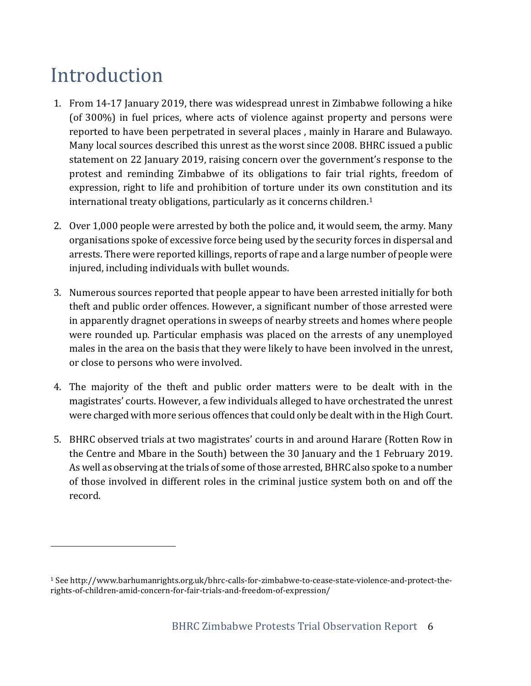# <span id="page-5-0"></span>Introduction

l

- 1. From 14-17 January 2019, there was widespread unrest in Zimbabwe following a hike (of 300%) in fuel prices, where acts of violence against property and persons were reported to have been perpetrated in several places , mainly in Harare and Bulawayo. Many local sources described this unrest as the worst since 2008. BHRC issued a public statement on 22 January 2019, raising concern over the government's response to the protest and reminding Zimbabwe of its obligations to fair trial rights, freedom of expression, right to life and prohibition of torture under its own constitution and its international treaty obligations, particularly as it concerns children. 1
- 2. Over 1,000 people were arrested by both the police and, it would seem, the army. Many organisations spoke of excessive force being used by the security forces in dispersal and arrests. There were reported killings, reports of rape and a large number of people were injured, including individuals with bullet wounds.
- 3. Numerous sources reported that people appear to have been arrested initially for both theft and public order offences. However, a significant number of those arrested were in apparently dragnet operations in sweeps of nearby streets and homes where people were rounded up. Particular emphasis was placed on the arrests of any unemployed males in the area on the basis that they were likely to have been involved in the unrest, or close to persons who were involved.
- 4. The majority of the theft and public order matters were to be dealt with in the magistrates' courts. However, a few individuals alleged to have orchestrated the unrest were charged with more serious offences that could only be dealt with in the High Court.
- 5. BHRC observed trials at two magistrates' courts in and around Harare (Rotten Row in the Centre and Mbare in the South) between the 30 January and the 1 February 2019. As well as observing at the trials of some of those arrested, BHRC also spoke to a number of those involved in different roles in the criminal justice system both on and off the record.

<sup>1</sup> See http://www.barhumanrights.org.uk/bhrc-calls-for-zimbabwe-to-cease-state-violence-and-protect-therights-of-children-amid-concern-for-fair-trials-and-freedom-of-expression/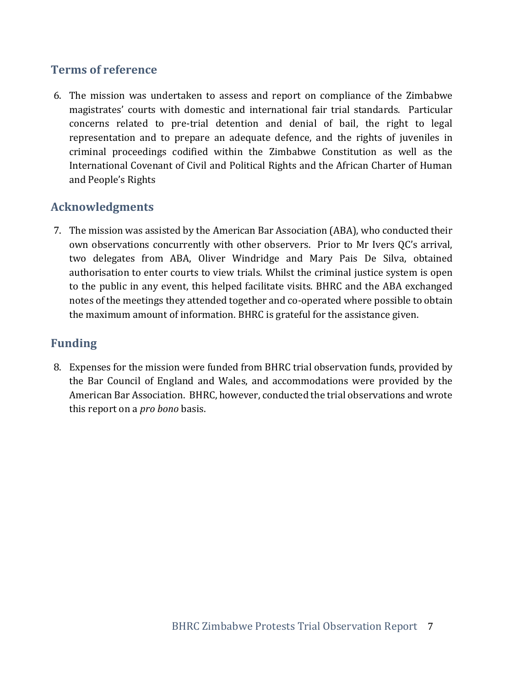## <span id="page-6-0"></span>**Terms of reference**

6. The mission was undertaken to assess and report on compliance of the Zimbabwe magistrates' courts with domestic and international fair trial standards. Particular concerns related to pre-trial detention and denial of bail, the right to legal representation and to prepare an adequate defence, and the rights of juveniles in criminal proceedings codified within the Zimbabwe Constitution as well as the International Covenant of Civil and Political Rights and the African Charter of Human and People's Rights

## <span id="page-6-1"></span>**Acknowledgments**

7. The mission was assisted by the American Bar Association (ABA), who conducted their own observations concurrently with other observers. Prior to Mr Ivers QC's arrival, two delegates from ABA, Oliver Windridge and Mary Pais De Silva, obtained authorisation to enter courts to view trials. Whilst the criminal justice system is open to the public in any event, this helped facilitate visits. BHRC and the ABA exchanged notes of the meetings they attended together and co-operated where possible to obtain the maximum amount of information. BHRC is grateful for the assistance given.

### <span id="page-6-2"></span>**Funding**

8. Expenses for the mission were funded from BHRC trial observation funds, provided by the Bar Council of England and Wales, and accommodations were provided by the American Bar Association. BHRC, however, conducted the trial observations and wrote this report on a *pro bono* basis.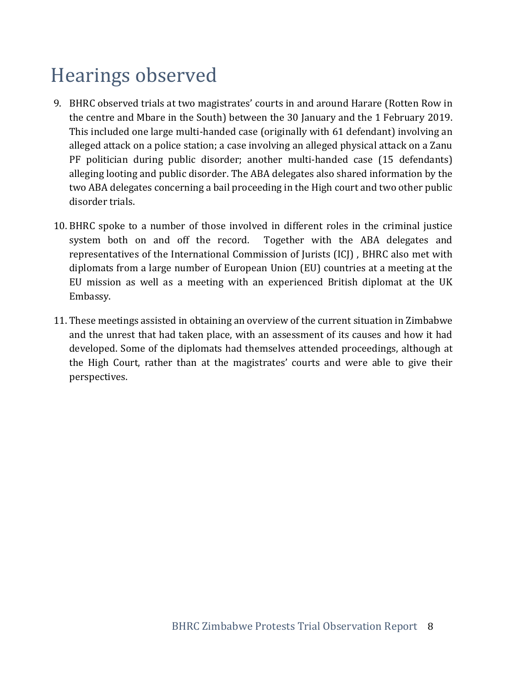# <span id="page-7-0"></span>Hearings observed

- 9. BHRC observed trials at two magistrates' courts in and around Harare (Rotten Row in the centre and Mbare in the South) between the 30 January and the 1 February 2019. This included one large multi-handed case (originally with 61 defendant) involving an alleged attack on a police station; a case involving an alleged physical attack on a Zanu PF politician during public disorder; another multi-handed case (15 defendants) alleging looting and public disorder. The ABA delegates also shared information by the two ABA delegates concerning a bail proceeding in the High court and two other public disorder trials.
- 10. BHRC spoke to a number of those involved in different roles in the criminal justice system both on and off the record. Together with the ABA delegates and representatives of the International Commission of Jurists (ICJ) , BHRC also met with diplomats from a large number of European Union (EU) countries at a meeting at the EU mission as well as a meeting with an experienced British diplomat at the UK Embassy.
- 11. These meetings assisted in obtaining an overview of the current situation in Zimbabwe and the unrest that had taken place, with an assessment of its causes and how it had developed. Some of the diplomats had themselves attended proceedings, although at the High Court, rather than at the magistrates' courts and were able to give their perspectives.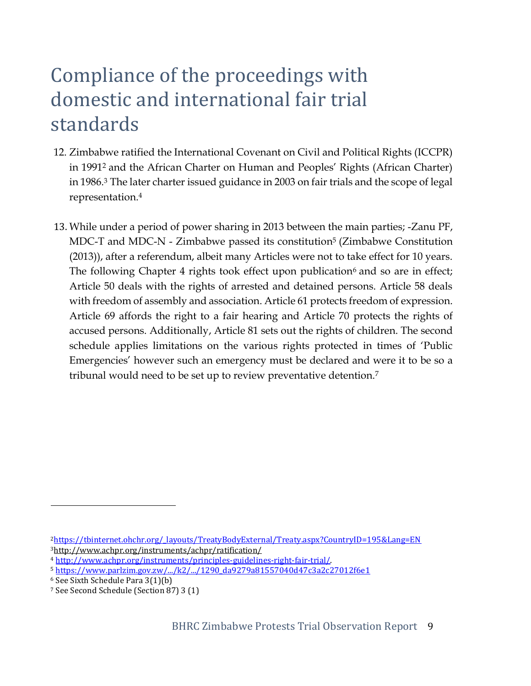## <span id="page-8-0"></span>Compliance of the proceedings with domestic and international fair trial standards

- 12. Zimbabwe ratified the International Covenant on Civil and Political Rights (ICCPR) in 1991<sup>2</sup> and the African Charter on Human and Peoples' Rights (African Charter) in 1986.<sup>3</sup> The later charter issued guidance in 2003 on fair trials and the scope of legal representation.<sup>4</sup>
- 13. While under a period of power sharing in 2013 between the main parties; -Zanu PF, MDC-T and MDC-N - Zimbabwe passed its constitution<sup>5</sup> (Zimbabwe Constitution (2013)), after a referendum, albeit many Articles were not to take effect for 10 years. The following Chapter 4 rights took effect upon publication<sup>6</sup> and so are in effect; Article 50 deals with the rights of arrested and detained persons. Article 58 deals with freedom of assembly and association. Article 61 protects freedom of expression. Article 69 affords the right to a fair hearing and Article 70 protects the rights of accused persons. Additionally, Article 81 sets out the rights of children. The second schedule applies limitations on the various rights protected in times of 'Public Emergencies' however such an emergency must be declared and were it to be so a tribunal would need to be set up to review preventative detention.<sup>7</sup>

l

<sup>&</sup>lt;sup>2</sup>[https://tbinternet.ohchr.org/\\_layouts/TreatyBodyExternal/Treaty.aspx?CountryID=195&Lang=EN](https://tbinternet.ohchr.org/_layouts/TreatyBodyExternal/Treaty.aspx?CountryID=195&Lang=EN) <sup>3</sup><http://www.achpr.org/instruments/achpr/ratification/>

<sup>4</sup> [http://www.achpr.org/instruments/principles-guidelines-right-fair-trial/.](http://www.achpr.org/instruments/principles-guidelines-right-fair-trial/)

<sup>5</sup> [https://www.parlzim.gov.zw/.../k2/.../1290\\_da9279a81557040d47c3a2c27012f6e1](https://www.parlzim.gov.zw/.../k2/.../1290_da9279a81557040d47c3a2c27012f6e1)

<sup>6</sup> See Sixth Schedule Para 3(1)(b)

<sup>7</sup> See Second Schedule (Section 87) 3 (1)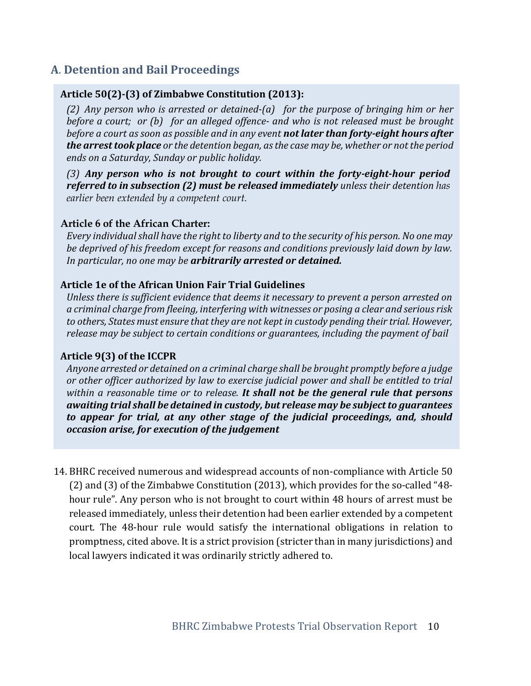### <span id="page-9-0"></span>**A**. **Detention and Bail Proceedings**

#### **Article 50(2)-(3) of Zimbabwe Constitution (2013):**

*(2) Any person who is arrested or detained-(a) for the purpose of bringing him or her before a court; or (b) for an alleged offence- and who is not released must be brought before a court as soon as possible and in any event not later than forty-eight hours after the arresttook place or the detention began, asthe case may be, whether or notthe period ends on a Saturday, Sunday or public holiday.*

*(3) Any person who is not brought to court within the forty-eight-hour period referred to in subsection (2) must be released immediately unless their detention has earlier been extended by a competent court.*

#### **Article 6 of the African Charter:**

*Every individual shall have the right to liberty and to the security of his person. No one may be deprived of his freedom except for reasons and conditions previously laid down by law. In particular, no one may be arbitrarily arrested or detained.*

#### **Article 1e of the African Union Fair Trial Guidelines**

*Unless there is sufficient evidence that deems it necessary to prevent a person arrested on a criminal charge from fleeing, interfering with witnesses or posing a clear and serious risk to others, States must ensure that they are not kept in custody pending their trial. However, release may be subject to certain conditions or guarantees, including the payment of bail*

#### **Article 9(3) of the ICCPR**

*Anyone arrested or detained on a criminal charge shall be brought promptly before a judge or other officer authorized by law to exercise judicial power and shall be entitled to trial within a reasonable time or to release. It shall not be the general rule that persons awaiting trial shall be detained in custody, but release may be subject to guarantees to appear for trial, at any other stage of the judicial proceedings, and, should occasion arise, for execution of the judgement* 

14. BHRC received numerous and widespread accounts of non-compliance with Article 50 (2) and (3) of the Zimbabwe Constitution (2013), which provides for the so-called "48 hour rule". Any person who is not brought to court within 48 hours of arrest must be released immediately, unless their detention had been earlier extended by a competent court. The 48-hour rule would satisfy the international obligations in relation to promptness, cited above. It is a strict provision (stricter than in many jurisdictions) and local lawyers indicated it was ordinarily strictly adhered to.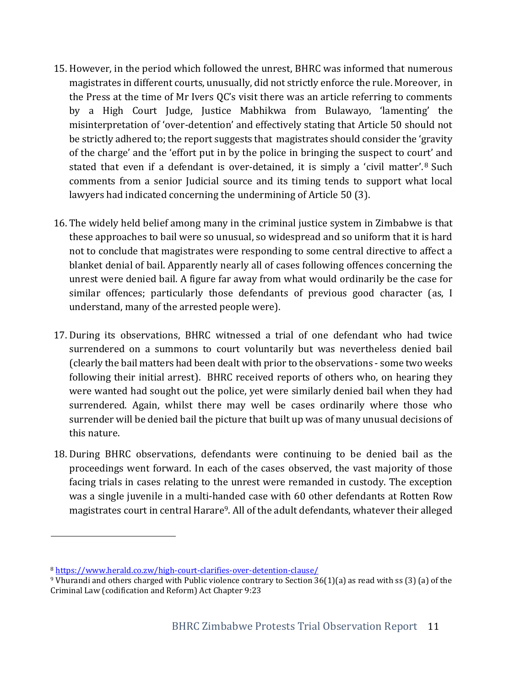- 15. However, in the period which followed the unrest, BHRC was informed that numerous magistrates in different courts, unusually, did not strictly enforce the rule. Moreover, in the Press at the time of Mr Ivers QC's visit there was an article referring to comments by a High Court Judge, Justice Mabhikwa from Bulawayo, 'lamenting' the misinterpretation of 'over-detention' and effectively stating that Article 50 should not be strictly adhered to; the report suggests that magistrates should consider the 'gravity of the charge' and the 'effort put in by the police in bringing the suspect to court' and stated that even if a defendant is over-detained, it is simply a 'civil matter'.<sup>8</sup> Such comments from a senior Judicial source and its timing tends to support what local lawyers had indicated concerning the undermining of Article 50 (3).
- 16. The widely held belief among many in the criminal justice system in Zimbabwe is that these approaches to bail were so unusual, so widespread and so uniform that it is hard not to conclude that magistrates were responding to some central directive to affect a blanket denial of bail. Apparently nearly all of cases following offences concerning the unrest were denied bail. A figure far away from what would ordinarily be the case for similar offences; particularly those defendants of previous good character (as, I understand, many of the arrested people were).
- 17. During its observations, BHRC witnessed a trial of one defendant who had twice surrendered on a summons to court voluntarily but was nevertheless denied bail (clearly the bail matters had been dealt with prior to the observations - some two weeks following their initial arrest). BHRC received reports of others who, on hearing they were wanted had sought out the police, yet were similarly denied bail when they had surrendered. Again, whilst there may well be cases ordinarily where those who surrender will be denied bail the picture that built up was of many unusual decisions of this nature.
- 18. During BHRC observations, defendants were continuing to be denied bail as the proceedings went forward. In each of the cases observed, the vast majority of those facing trials in cases relating to the unrest were remanded in custody. The exception was a single juvenile in a multi-handed case with 60 other defendants at Rotten Row magistrates court in central Harare9. All of the adult defendants, whatever their alleged

 $\overline{a}$ 

<sup>8</sup> <https://www.herald.co.zw/high-court-clarifies-over-detention-clause/>

<sup>9</sup> Vhurandi and others charged with Public violence contrary to Section 36(1)(a) as read with ss (3) (a) of the Criminal Law (codification and Reform) Act Chapter 9:23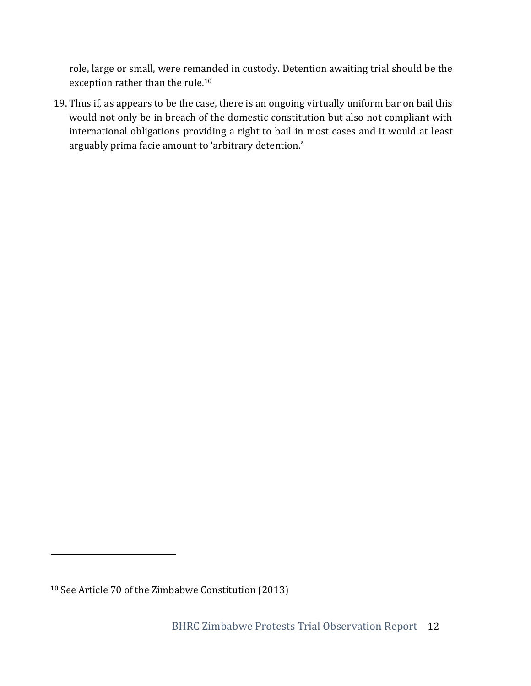role, large or small, were remanded in custody. Detention awaiting trial should be the exception rather than the rule.<sup>10</sup>

19. Thus if, as appears to be the case, there is an ongoing virtually uniform bar on bail this would not only be in breach of the domestic constitution but also not compliant with international obligations providing a right to bail in most cases and it would at least arguably prima facie amount to 'arbitrary detention.'

l

<sup>10</sup> See Article 70 of the Zimbabwe Constitution (2013)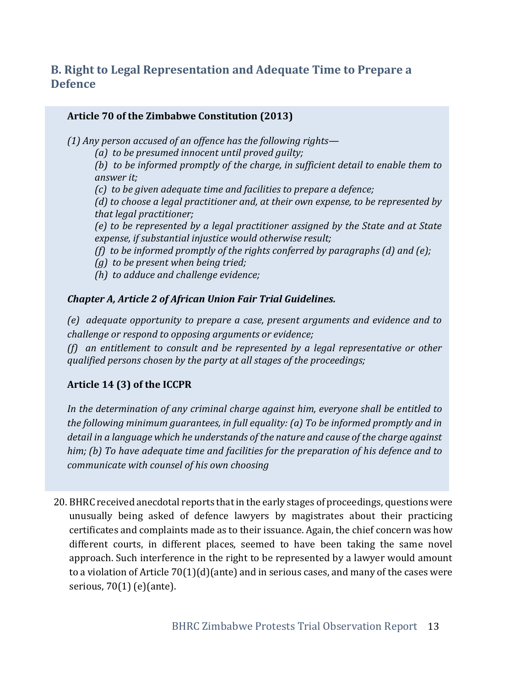## <span id="page-12-0"></span>**B. Right to Legal Representation and Adequate Time to Prepare a Defence**

#### **Article 70 of the Zimbabwe Constitution (2013)**

*(1) Any person accused of an offence has the following rights—*

*(a) to be presumed innocent until proved guilty;*

*(b) to be informed promptly of the charge, in sufficient detail to enable them to answer it;*

*(c) to be given adequate time and facilities to prepare a defence;*

*(d) to choose a legal practitioner and, at their own expense, to be represented by that legal practitioner;*

*(e) to be represented by a legal practitioner assigned by the State and at State expense, if substantial injustice would otherwise result;*

- *(f) to be informed promptly of the rights conferred by paragraphs (d) and (e);*
- *(g) to be present when being tried;*
- *(h) to adduce and challenge evidence;*

#### *Chapter A, Article 2 of African Union Fair Trial Guidelines.*

*(e) adequate opportunity to prepare a case, present arguments and evidence and to challenge or respond to opposing arguments or evidence;* 

*(f) an entitlement to consult and be represented by a legal representative or other qualified persons chosen by the party at all stages of the proceedings;*

#### **Article 14 (3) of the ICCPR**

*In the determination of any criminal charge against him, everyone shall be entitled to the following minimum guarantees, in full equality: (a) To be informed promptly and in detail in a language which he understands of the nature and cause of the charge against him; (b) To have adequate time and facilities for the preparation of his defence and to communicate with counsel of his own choosing*

20. BHRC received anecdotal reports that in the early stages of proceedings, questions were unusually being asked of defence lawyers by magistrates about their practicing certificates and complaints made as to their issuance. Again, the chief concern was how different courts, in different places, seemed to have been taking the same novel approach. Such interference in the right to be represented by a lawyer would amount to a violation of Article 70(1)(d)(ante) and in serious cases, and many of the cases were serious, 70(1) (e)(ante).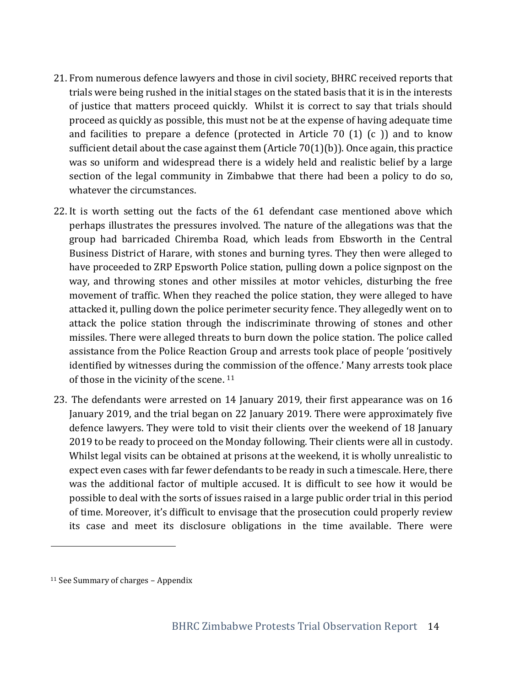- 21. From numerous defence lawyers and those in civil society, BHRC received reports that trials were being rushed in the initial stages on the stated basis that it is in the interests of justice that matters proceed quickly. Whilst it is correct to say that trials should proceed as quickly as possible, this must not be at the expense of having adequate time and facilities to prepare a defence (protected in Article 70  $(1)$  (c)) and to know sufficient detail about the case against them  $(A$ rticle  $70(1)(b)$ ). Once again, this practice was so uniform and widespread there is a widely held and realistic belief by a large section of the legal community in Zimbabwe that there had been a policy to do so, whatever the circumstances.
- 22. It is worth setting out the facts of the 61 defendant case mentioned above which perhaps illustrates the pressures involved. The nature of the allegations was that the group had barricaded Chiremba Road, which leads from Ebsworth in the Central Business District of Harare, with stones and burning tyres. They then were alleged to have proceeded to ZRP Epsworth Police station, pulling down a police signpost on the way, and throwing stones and other missiles at motor vehicles, disturbing the free movement of traffic. When they reached the police station, they were alleged to have attacked it, pulling down the police perimeter security fence. They allegedly went on to attack the police station through the indiscriminate throwing of stones and other missiles. There were alleged threats to burn down the police station. The police called assistance from the Police Reaction Group and arrests took place of people 'positively identified by witnesses during the commission of the offence.' Many arrests took place of those in the vicinity of the scene. <sup>11</sup>
- 23. The defendants were arrested on 14 January 2019, their first appearance was on 16 January 2019, and the trial began on 22 January 2019. There were approximately five defence lawyers. They were told to visit their clients over the weekend of 18 January 2019 to be ready to proceed on the Monday following. Their clients were all in custody. Whilst legal visits can be obtained at prisons at the weekend, it is wholly unrealistic to expect even cases with far fewer defendants to be ready in such a timescale. Here, there was the additional factor of multiple accused. It is difficult to see how it would be possible to deal with the sorts of issues raised in a large public order trial in this period of time. Moreover, it's difficult to envisage that the prosecution could properly review its case and meet its disclosure obligations in the time available. There were

l

<sup>11</sup> See Summary of charges – Appendix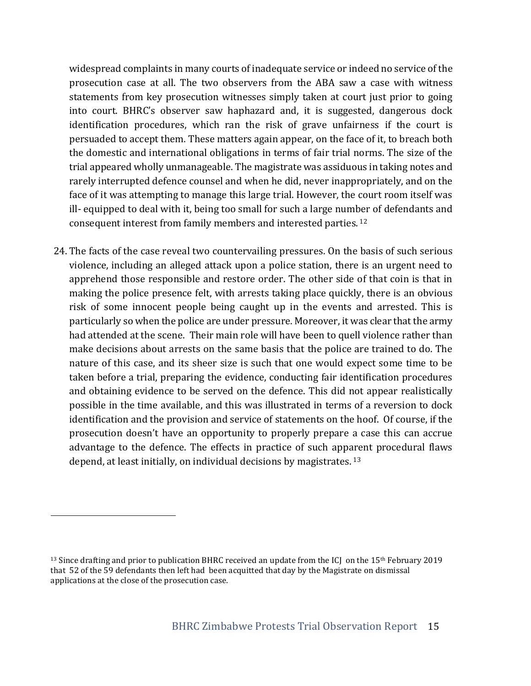widespread complaints in many courts of inadequate service or indeed no service of the prosecution case at all. The two observers from the ABA saw a case with witness statements from key prosecution witnesses simply taken at court just prior to going into court. BHRC's observer saw haphazard and, it is suggested, dangerous dock identification procedures, which ran the risk of grave unfairness if the court is persuaded to accept them. These matters again appear, on the face of it, to breach both the domestic and international obligations in terms of fair trial norms. The size of the trial appeared wholly unmanageable. The magistrate was assiduous in taking notes and rarely interrupted defence counsel and when he did, never inappropriately, and on the face of it was attempting to manage this large trial. However, the court room itself was ill- equipped to deal with it, being too small for such a large number of defendants and consequent interest from family members and interested parties. 12

24. The facts of the case reveal two countervailing pressures. On the basis of such serious violence, including an alleged attack upon a police station, there is an urgent need to apprehend those responsible and restore order. The other side of that coin is that in making the police presence felt, with arrests taking place quickly, there is an obvious risk of some innocent people being caught up in the events and arrested. This is particularly so when the police are under pressure. Moreover, it was clear that the army had attended at the scene. Their main role will have been to quell violence rather than make decisions about arrests on the same basis that the police are trained to do. The nature of this case, and its sheer size is such that one would expect some time to be taken before a trial, preparing the evidence, conducting fair identification procedures and obtaining evidence to be served on the defence. This did not appear realistically possible in the time available, and this was illustrated in terms of a reversion to dock identification and the provision and service of statements on the hoof. Of course, if the prosecution doesn't have an opportunity to properly prepare a case this can accrue advantage to the defence. The effects in practice of such apparent procedural flaws depend, at least initially, on individual decisions by magistrates. <sup>13</sup>

 $\overline{a}$ 

<sup>&</sup>lt;sup>13</sup> Since drafting and prior to publication BHRC received an update from the ICJ on the  $15<sup>th</sup>$  February 2019 that 52 of the 59 defendants then left had been acquitted that day by the Magistrate on dismissal applications at the close of the prosecution case.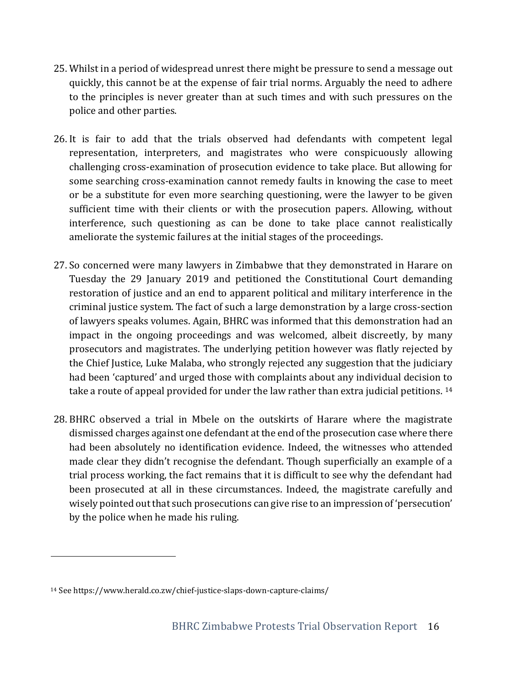- 25. Whilst in a period of widespread unrest there might be pressure to send a message out quickly, this cannot be at the expense of fair trial norms. Arguably the need to adhere to the principles is never greater than at such times and with such pressures on the police and other parties.
- 26. It is fair to add that the trials observed had defendants with competent legal representation, interpreters, and magistrates who were conspicuously allowing challenging cross-examination of prosecution evidence to take place. But allowing for some searching cross-examination cannot remedy faults in knowing the case to meet or be a substitute for even more searching questioning, were the lawyer to be given sufficient time with their clients or with the prosecution papers. Allowing, without interference, such questioning as can be done to take place cannot realistically ameliorate the systemic failures at the initial stages of the proceedings.
- 27. So concerned were many lawyers in Zimbabwe that they demonstrated in Harare on Tuesday the 29 January 2019 and petitioned the Constitutional Court demanding restoration of justice and an end to apparent political and military interference in the criminal justice system. The fact of such a large demonstration by a large cross-section of lawyers speaks volumes. Again, BHRC was informed that this demonstration had an impact in the ongoing proceedings and was welcomed, albeit discreetly, by many prosecutors and magistrates. The underlying petition however was flatly rejected by the Chief Justice, Luke Malaba, who strongly rejected any suggestion that the judiciary had been 'captured' and urged those with complaints about any individual decision to take a route of appeal provided for under the law rather than extra judicial petitions.  $^{14}$
- 28. BHRC observed a trial in Mbele on the outskirts of Harare where the magistrate dismissed charges against one defendant at the end of the prosecution case where there had been absolutely no identification evidence. Indeed, the witnesses who attended made clear they didn't recognise the defendant. Though superficially an example of a trial process working, the fact remains that it is difficult to see why the defendant had been prosecuted at all in these circumstances. Indeed, the magistrate carefully and wisely pointed out that such prosecutions can give rise to an impression of 'persecution' by the police when he made his ruling.

 $\overline{a}$ 

<sup>14</sup> See https://www.herald.co.zw/chief-justice-slaps-down-capture-claims/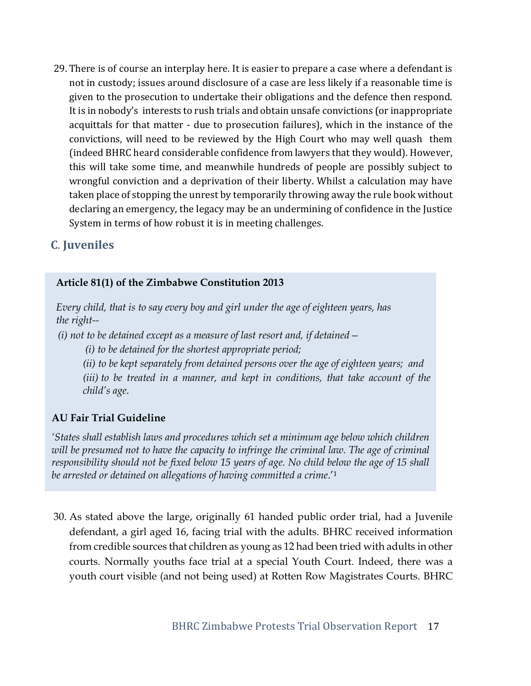29. There is of course an interplay here. It is easier to prepare a case where a defendant is not in custody; issues around disclosure of a case are less likely if a reasonable time is given to the prosecution to undertake their obligations and the defence then respond. It is in nobody's interests to rush trials and obtain unsafe convictions (or inappropriate acquittals for that matter - due to prosecution failures), which in the instance of the convictions, will need to be reviewed by the High Court who may well quash them (indeed BHRC heard considerable confidence from lawyers that they would). However, this will take some time, and meanwhile hundreds of people are possibly subject to wrongful conviction and a deprivation of their liberty. Whilst a calculation may have taken place of stopping the unrest by temporarily throwing away the rule book without declaring an emergency, the legacy may be an undermining of confidence in the Justice System in terms of how robust it is in meeting challenges.

### <span id="page-16-0"></span>**C**. **Juveniles**

### **Article 81(1) of the Zimbabwe Constitution 2013**

*Every child, that is to say every boy and girl under the age of eighteen years, has the right--*

*(i) not to be detained except as a measure of last resort and, if detained—*

*(i) to be detained for the shortest appropriate period;*

*(ii) to be kept separately from detained persons over the age of eighteen years; and*

*(iii) to be treated in a manner, and kept in conditions, that take account of the child's age*.

### **AU Fair Trial Guideline**

*'States shall establish laws and procedures which set a minimum age below which children*  will be presumed not to have the capacity to infringe the criminal law. The age of criminal *responsibility should not be fixed below 15 years of age. No child below the age of 15 shall be arrested or detained on allegations of having committed a crime*.' 1

30. As stated above the large, originally 61 handed public order trial, had a Juvenile defendant, a girl aged 16, facing trial with the adults. BHRC received information from credible sources that children as young as 12 had been tried with adults in other courts. Normally youths face trial at a special Youth Court. Indeed, there was a youth court visible (and not being used) at Rotten Row Magistrates Courts. BHRC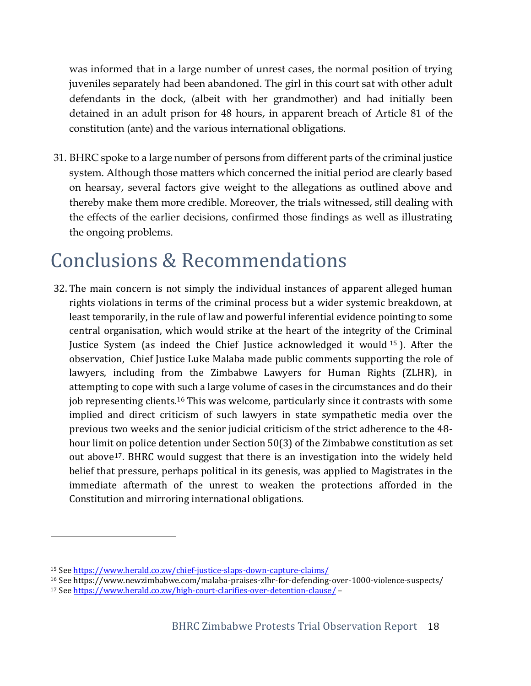was informed that in a large number of unrest cases, the normal position of trying juveniles separately had been abandoned. The girl in this court sat with other adult defendants in the dock, (albeit with her grandmother) and had initially been detained in an adult prison for 48 hours, in apparent breach of Article 81 of the constitution (ante) and the various international obligations.

31. BHRC spoke to a large number of persons from different parts of the criminal justice system. Although those matters which concerned the initial period are clearly based on hearsay, several factors give weight to the allegations as outlined above and thereby make them more credible. Moreover, the trials witnessed, still dealing with the effects of the earlier decisions, confirmed those findings as well as illustrating the ongoing problems.

## <span id="page-17-0"></span>Conclusions & Recommendations

32. The main concern is not simply the individual instances of apparent alleged human rights violations in terms of the criminal process but a wider systemic breakdown, at least temporarily, in the rule of law and powerful inferential evidence pointing to some central organisation, which would strike at the heart of the integrity of the Criminal Justice System (as indeed the Chief Justice acknowledged it would <sup>15</sup> ). After the observation, Chief Justice Luke Malaba made public comments supporting the role of lawyers, including from the Zimbabwe Lawyers for Human Rights (ZLHR), in attempting to cope with such a large volume of cases in the circumstances and do their job representing clients.<sup>16</sup> This was welcome, particularly since it contrasts with some implied and direct criticism of such lawyers in state sympathetic media over the previous two weeks and the senior judicial criticism of the strict adherence to the 48 hour limit on police detention under Section 50(3) of the Zimbabwe constitution as set out above<sup>17</sup>. BHRC would suggest that there is an investigation into the widely held belief that pressure, perhaps political in its genesis, was applied to Magistrates in the immediate aftermath of the unrest to weaken the protections afforded in the Constitution and mirroring international obligations.

 $\overline{a}$ 

<sup>15</sup> See<https://www.herald.co.zw/chief-justice-slaps-down-capture-claims/>

<sup>16</sup> See https://www.newzimbabwe.com/malaba-praises-zlhr-for-defending-over-1000-violence-suspects/

<sup>17</sup> See<https://www.herald.co.zw/high-court-clarifies-over-detention-clause/> -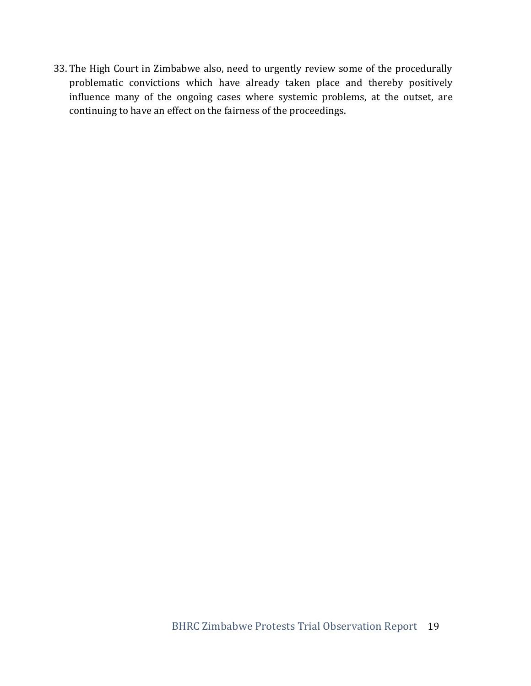33. The High Court in Zimbabwe also, need to urgently review some of the procedurally problematic convictions which have already taken place and thereby positively influence many of the ongoing cases where systemic problems, at the outset, are continuing to have an effect on the fairness of the proceedings.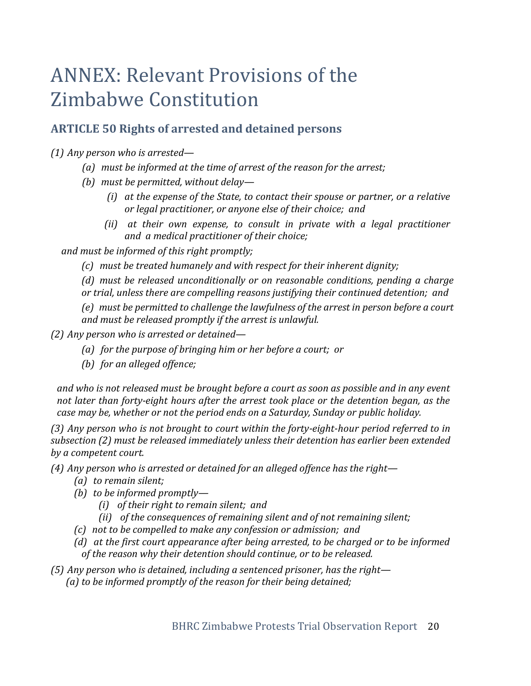## <span id="page-19-0"></span>ANNEX: Relevant Provisions of the Zimbabwe Constitution

## <span id="page-19-1"></span>**ARTICLE 50 Rights of arrested and detained persons**

*(1) Any person who is arrested—*

- *(a) must be informed at the time of arrest of the reason for the arrest;*
- *(b) must be permitted, without delay—*
	- *(i) at the expense of the State, to contact their spouse or partner, or a relative or legal practitioner, or anyone else of their choice; and*
	- *(ii) at their own expense, to consult in private with a legal practitioner and a medical practitioner of their choice;*

*and must be informed of this right promptly;*

- *(c) must be treated humanely and with respect for their inherent dignity;*
- *(d) must be released unconditionally or on reasonable conditions, pending a charge or trial, unless there are compelling reasons justifying their continued detention; and*
- *(e) must be permitted to challenge the lawfulness of the arrest in person before a court and must be released promptly if the arrest is unlawful.*
- *(2) Any person who is arrested or detained—*
	- *(a) for the purpose of bringing him or her before a court; or*
	- *(b) for an alleged offence;*

*and who is not released must be brought before a court as soon as possible and in any event not later than forty-eight hours after the arrest took place or the detention began, as the case may be, whether or not the period ends on a Saturday, Sunday or public holiday.*

*(3) Any person who is not brought to court within the forty-eight-hour period referred to in subsection (2) must be released immediately unless their detention has earlier been extended by a competent court.*

*(4) Any person who is arrested or detained for an alleged offence has the right—*

- *(a) to remain silent;*
- *(b) to be informed promptly—*
	- *(i) of their right to remain silent; and*
	- *(ii) of the consequences of remaining silent and of not remaining silent;*
- *(c) not to be compelled to make any confession or admission; and*
- *(d) at the first court appearance after being arrested, to be charged or to be informed of the reason why their detention should continue, or to be released.*
- *(5) Any person who is detained, including a sentenced prisoner, has the right— (a) to be informed promptly of the reason for their being detained;*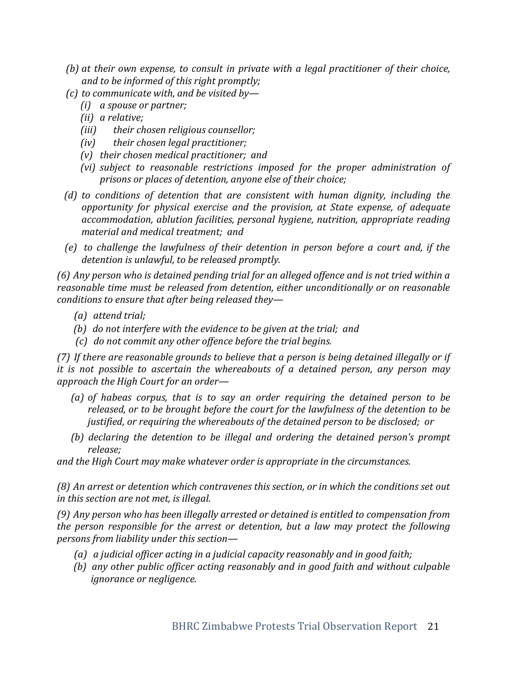- *(b) at their own expense, to consult in private with a legal practitioner of their choice, and to be informed of this right promptly;*
- *(c) to communicate with, and be visited by—*
	- *(i) a spouse or partner;*
	- *(ii) a relative;*
	- *(iii) their chosen religious counsellor;*
	- *(iv) their chosen legal practitioner;*
	- *(v) their chosen medical practitioner; and*
	- *(vi) subject to reasonable restrictions imposed for the proper administration of prisons or places of detention, anyone else of their choice;*
- *(d) to conditions of detention that are consistent with human dignity, including the opportunity for physical exercise and the provision, at State expense, of adequate accommodation, ablution facilities, personal hygiene, nutrition, appropriate reading material and medical treatment; and*
- *(e) to challenge the lawfulness of their detention in person before a court and, if the detention is unlawful, to be released promptly.*

*(6) Any person who is detained pending trial for an alleged offence and is not tried within a reasonable time must be released from detention, either unconditionally or on reasonable conditions to ensure that after being released they—*

- *(a) attend trial;*
- *(b) do not interfere with the evidence to be given at the trial; and*
- *(c) do not commit any other offence before the trial begins.*

*(7) If there are reasonable grounds to believe that a person is being detained illegally or if it is not possible to ascertain the whereabouts of a detained person, any person may approach the High Court for an order—*

- *(a) of habeas corpus, that is to say an order requiring the detained person to be released, or to be brought before the court for the lawfulness of the detention to be justified, or requiring the whereabouts of the detained person to be disclosed; or*
- *(b) declaring the detention to be illegal and ordering the detained person's prompt release;*

*and the High Court may make whatever order is appropriate in the circumstances.*

*(8) An arrest or detention which contravenes this section, or in which the conditions set out in this section are not met, is illegal.*

*(9) Any person who has been illegally arrested or detained is entitled to compensation from the person responsible for the arrest or detention, but a law may protect the following persons from liability under this section—*

- *(a) a judicial officer acting in a judicial capacity reasonably and in good faith;*
- *(b) any other public officer acting reasonably and in good faith and without culpable ignorance or negligence.*